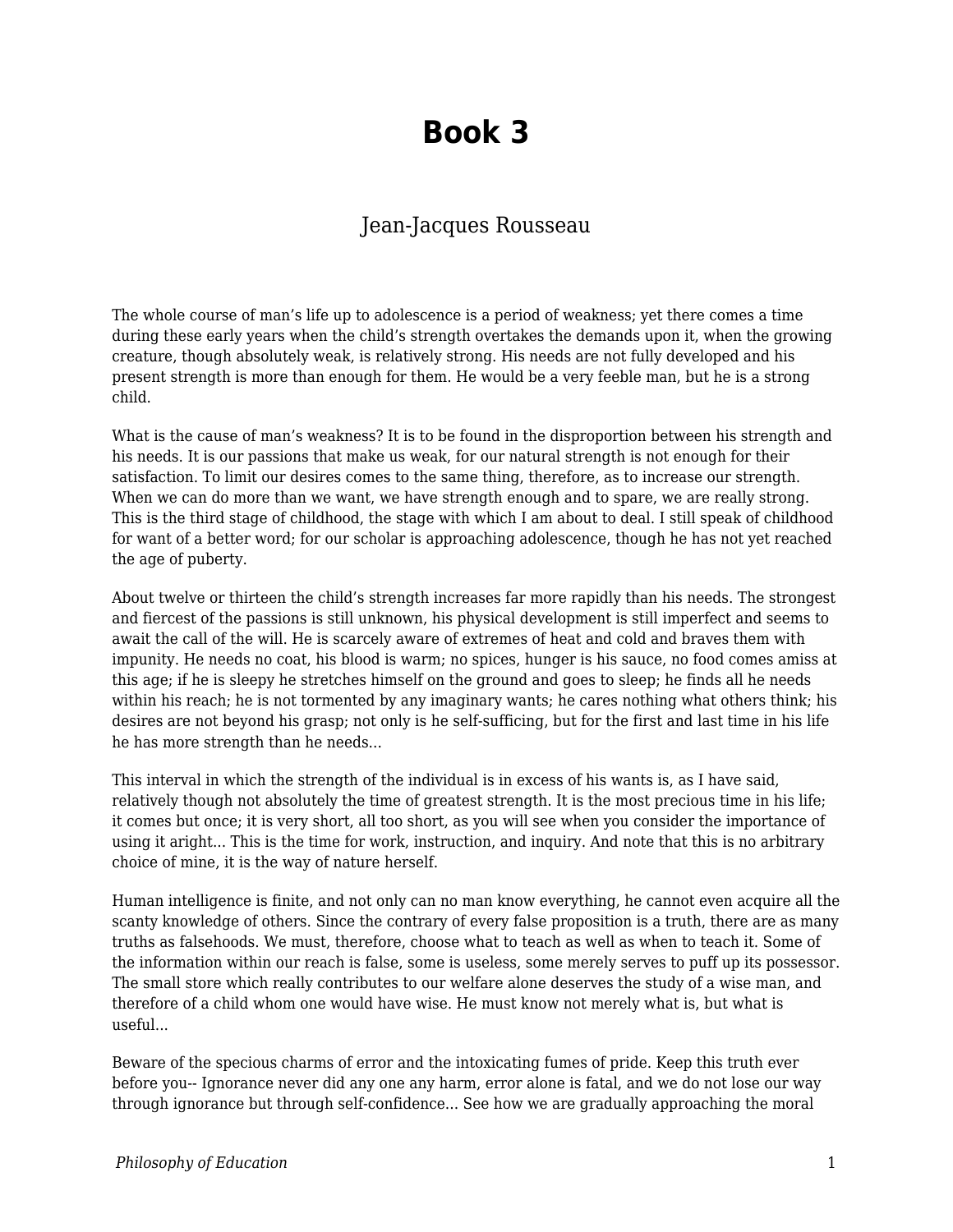## **Book 3**

## Jean-Jacques Rousseau

The whole course of man's life up to adolescence is a period of weakness; yet there comes a time during these early years when the child's strength overtakes the demands upon it, when the growing creature, though absolutely weak, is relatively strong. His needs are not fully developed and his present strength is more than enough for them. He would be a very feeble man, but he is a strong child.

What is the cause of man's weakness? It is to be found in the disproportion between his strength and his needs. It is our passions that make us weak, for our natural strength is not enough for their satisfaction. To limit our desires comes to the same thing, therefore, as to increase our strength. When we can do more than we want, we have strength enough and to spare, we are really strong. This is the third stage of childhood, the stage with which I am about to deal. I still speak of childhood for want of a better word; for our scholar is approaching adolescence, though he has not yet reached the age of puberty.

About twelve or thirteen the child's strength increases far more rapidly than his needs. The strongest and fiercest of the passions is still unknown, his physical development is still imperfect and seems to await the call of the will. He is scarcely aware of extremes of heat and cold and braves them with impunity. He needs no coat, his blood is warm; no spices, hunger is his sauce, no food comes amiss at this age; if he is sleepy he stretches himself on the ground and goes to sleep; he finds all he needs within his reach; he is not tormented by any imaginary wants; he cares nothing what others think; his desires are not beyond his grasp; not only is he self-sufficing, but for the first and last time in his life he has more strength than he needs...

This interval in which the strength of the individual is in excess of his wants is, as I have said, relatively though not absolutely the time of greatest strength. It is the most precious time in his life; it comes but once; it is very short, all too short, as you will see when you consider the importance of using it aright... This is the time for work, instruction, and inquiry. And note that this is no arbitrary choice of mine, it is the way of nature herself.

Human intelligence is finite, and not only can no man know everything, he cannot even acquire all the scanty knowledge of others. Since the contrary of every false proposition is a truth, there are as many truths as falsehoods. We must, therefore, choose what to teach as well as when to teach it. Some of the information within our reach is false, some is useless, some merely serves to puff up its possessor. The small store which really contributes to our welfare alone deserves the study of a wise man, and therefore of a child whom one would have wise. He must know not merely what is, but what is useful...

Beware of the specious charms of error and the intoxicating fumes of pride. Keep this truth ever before you-- Ignorance never did any one any harm, error alone is fatal, and we do not lose our way through ignorance but through self-confidence... See how we are gradually approaching the moral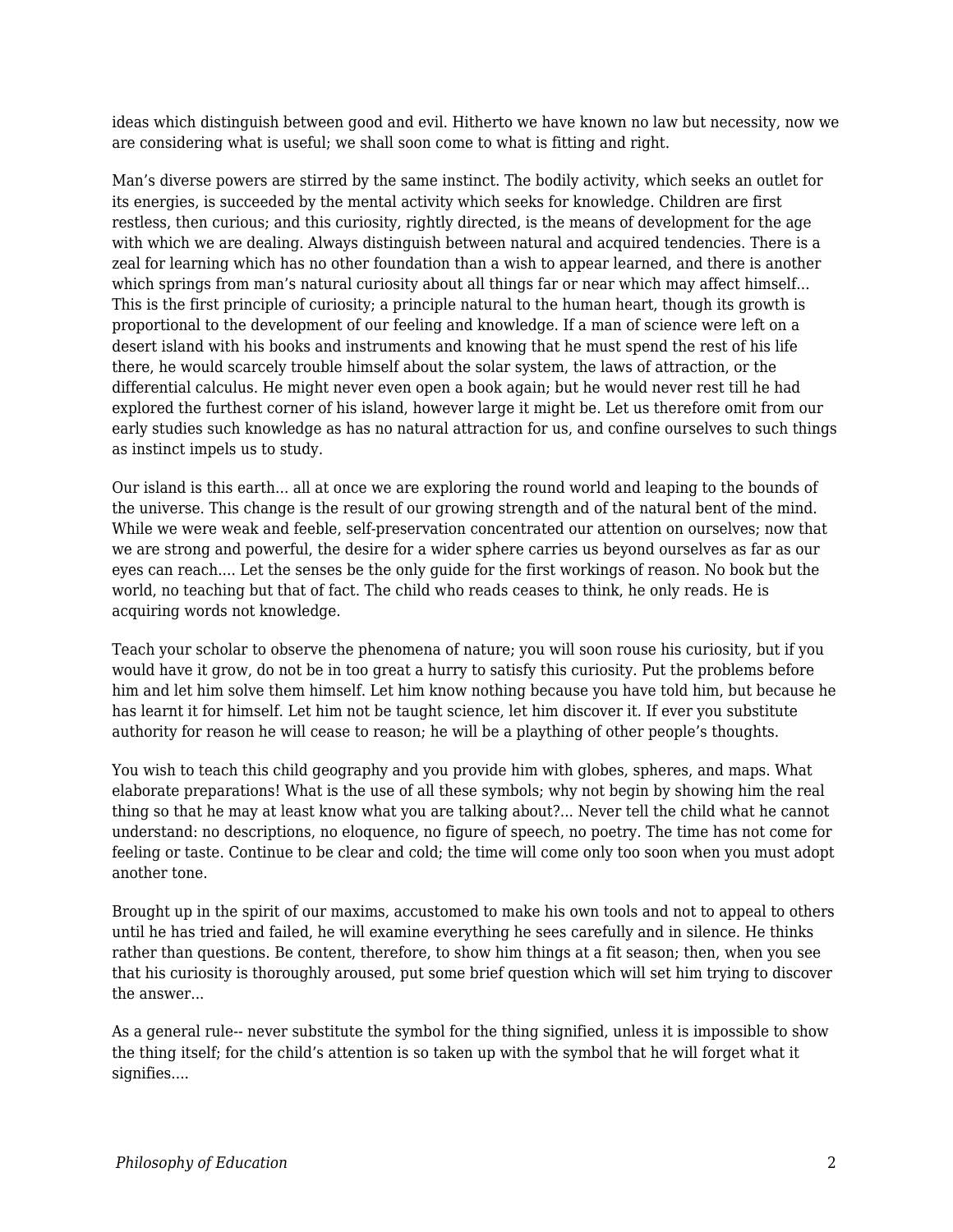ideas which distinguish between good and evil. Hitherto we have known no law but necessity, now we are considering what is useful; we shall soon come to what is fitting and right.

Man's diverse powers are stirred by the same instinct. The bodily activity, which seeks an outlet for its energies, is succeeded by the mental activity which seeks for knowledge. Children are first restless, then curious; and this curiosity, rightly directed, is the means of development for the age with which we are dealing. Always distinguish between natural and acquired tendencies. There is a zeal for learning which has no other foundation than a wish to appear learned, and there is another which springs from man's natural curiosity about all things far or near which may affect himself... This is the first principle of curiosity; a principle natural to the human heart, though its growth is proportional to the development of our feeling and knowledge. If a man of science were left on a desert island with his books and instruments and knowing that he must spend the rest of his life there, he would scarcely trouble himself about the solar system, the laws of attraction, or the differential calculus. He might never even open a book again; but he would never rest till he had explored the furthest corner of his island, however large it might be. Let us therefore omit from our early studies such knowledge as has no natural attraction for us, and confine ourselves to such things as instinct impels us to study.

Our island is this earth... all at once we are exploring the round world and leaping to the bounds of the universe. This change is the result of our growing strength and of the natural bent of the mind. While we were weak and feeble, self-preservation concentrated our attention on ourselves; now that we are strong and powerful, the desire for a wider sphere carries us beyond ourselves as far as our eyes can reach.... Let the senses be the only guide for the first workings of reason. No book but the world, no teaching but that of fact. The child who reads ceases to think, he only reads. He is acquiring words not knowledge.

Teach your scholar to observe the phenomena of nature; you will soon rouse his curiosity, but if you would have it grow, do not be in too great a hurry to satisfy this curiosity. Put the problems before him and let him solve them himself. Let him know nothing because you have told him, but because he has learnt it for himself. Let him not be taught science, let him discover it. If ever you substitute authority for reason he will cease to reason; he will be a plaything of other people's thoughts.

You wish to teach this child geography and you provide him with globes, spheres, and maps. What elaborate preparations! What is the use of all these symbols; why not begin by showing him the real thing so that he may at least know what you are talking about?... Never tell the child what he cannot understand: no descriptions, no eloquence, no figure of speech, no poetry. The time has not come for feeling or taste. Continue to be clear and cold; the time will come only too soon when you must adopt another tone.

Brought up in the spirit of our maxims, accustomed to make his own tools and not to appeal to others until he has tried and failed, he will examine everything he sees carefully and in silence. He thinks rather than questions. Be content, therefore, to show him things at a fit season; then, when you see that his curiosity is thoroughly aroused, put some brief question which will set him trying to discover the answer...

As a general rule-- never substitute the symbol for the thing signified, unless it is impossible to show the thing itself; for the child's attention is so taken up with the symbol that he will forget what it signifies....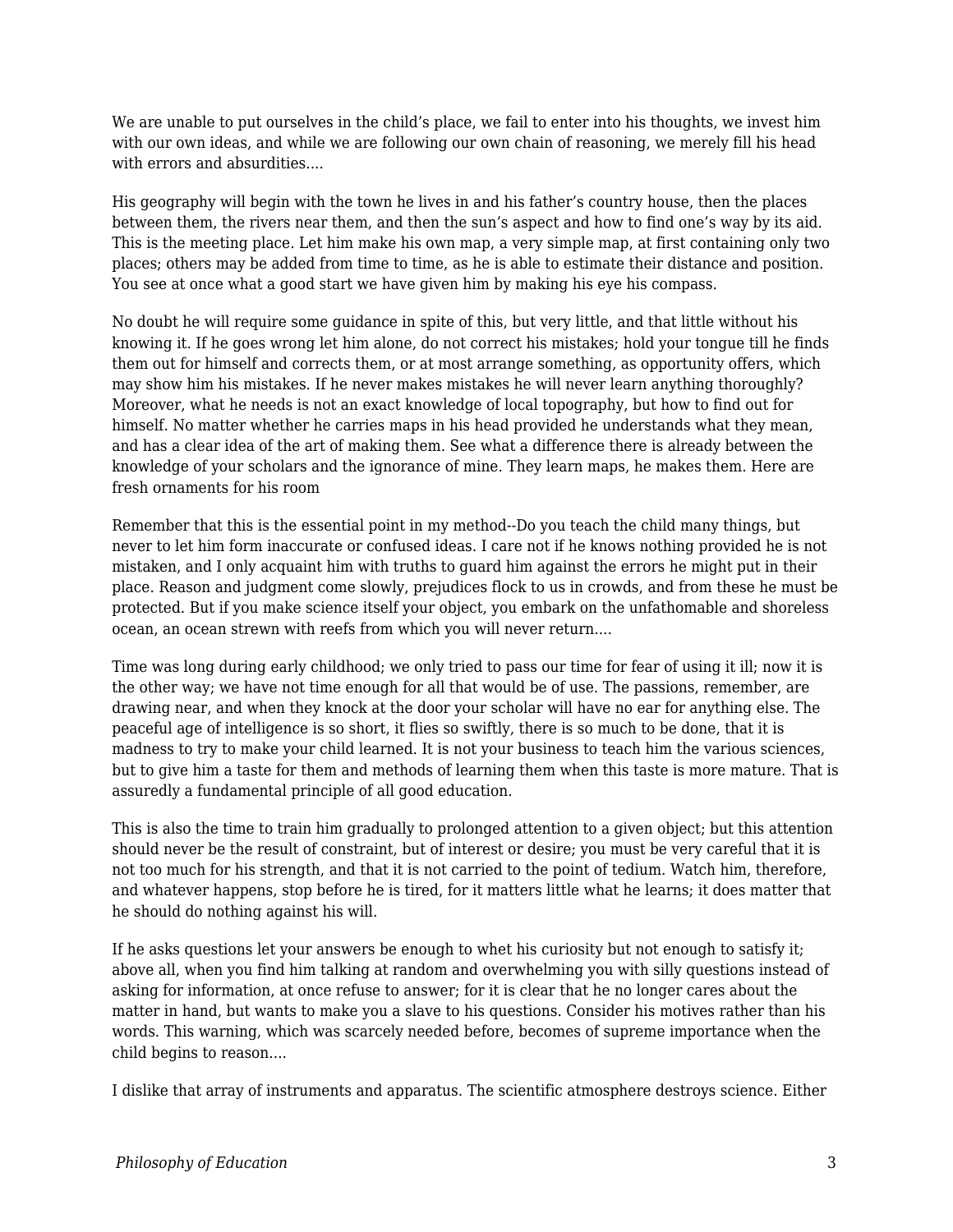We are unable to put ourselves in the child's place, we fail to enter into his thoughts, we invest him with our own ideas, and while we are following our own chain of reasoning, we merely fill his head with errors and absurdities....

His geography will begin with the town he lives in and his father's country house, then the places between them, the rivers near them, and then the sun's aspect and how to find one's way by its aid. This is the meeting place. Let him make his own map, a very simple map, at first containing only two places; others may be added from time to time, as he is able to estimate their distance and position. You see at once what a good start we have given him by making his eye his compass.

No doubt he will require some guidance in spite of this, but very little, and that little without his knowing it. If he goes wrong let him alone, do not correct his mistakes; hold your tongue till he finds them out for himself and corrects them, or at most arrange something, as opportunity offers, which may show him his mistakes. If he never makes mistakes he will never learn anything thoroughly? Moreover, what he needs is not an exact knowledge of local topography, but how to find out for himself. No matter whether he carries maps in his head provided he understands what they mean, and has a clear idea of the art of making them. See what a difference there is already between the knowledge of your scholars and the ignorance of mine. They learn maps, he makes them. Here are fresh ornaments for his room

Remember that this is the essential point in my method--Do you teach the child many things, but never to let him form inaccurate or confused ideas. I care not if he knows nothing provided he is not mistaken, and I only acquaint him with truths to guard him against the errors he might put in their place. Reason and judgment come slowly, prejudices flock to us in crowds, and from these he must be protected. But if you make science itself your object, you embark on the unfathomable and shoreless ocean, an ocean strewn with reefs from which you will never return....

Time was long during early childhood; we only tried to pass our time for fear of using it ill; now it is the other way; we have not time enough for all that would be of use. The passions, remember, are drawing near, and when they knock at the door your scholar will have no ear for anything else. The peaceful age of intelligence is so short, it flies so swiftly, there is so much to be done, that it is madness to try to make your child learned. It is not your business to teach him the various sciences, but to give him a taste for them and methods of learning them when this taste is more mature. That is assuredly a fundamental principle of all good education.

This is also the time to train him gradually to prolonged attention to a given object; but this attention should never be the result of constraint, but of interest or desire; you must be very careful that it is not too much for his strength, and that it is not carried to the point of tedium. Watch him, therefore, and whatever happens, stop before he is tired, for it matters little what he learns; it does matter that he should do nothing against his will.

If he asks questions let your answers be enough to whet his curiosity but not enough to satisfy it; above all, when you find him talking at random and overwhelming you with silly questions instead of asking for information, at once refuse to answer; for it is clear that he no longer cares about the matter in hand, but wants to make you a slave to his questions. Consider his motives rather than his words. This warning, which was scarcely needed before, becomes of supreme importance when the child begins to reason....

I dislike that array of instruments and apparatus. The scientific atmosphere destroys science. Either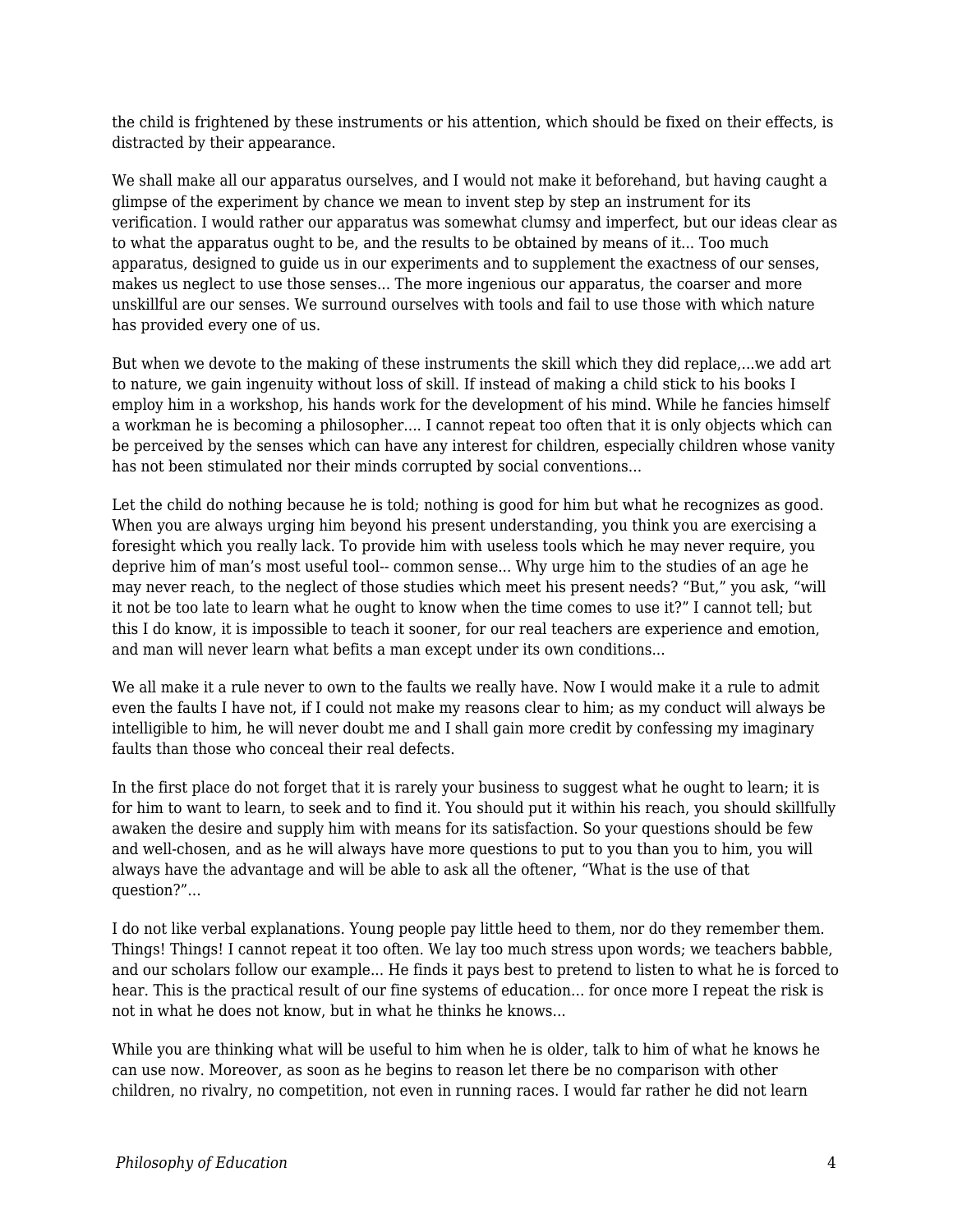the child is frightened by these instruments or his attention, which should be fixed on their effects, is distracted by their appearance.

We shall make all our apparatus ourselves, and I would not make it beforehand, but having caught a glimpse of the experiment by chance we mean to invent step by step an instrument for its verification. I would rather our apparatus was somewhat clumsy and imperfect, but our ideas clear as to what the apparatus ought to be, and the results to be obtained by means of it... Too much apparatus, designed to guide us in our experiments and to supplement the exactness of our senses, makes us neglect to use those senses... The more ingenious our apparatus, the coarser and more unskillful are our senses. We surround ourselves with tools and fail to use those with which nature has provided every one of us.

But when we devote to the making of these instruments the skill which they did replace,...we add art to nature, we gain ingenuity without loss of skill. If instead of making a child stick to his books I employ him in a workshop, his hands work for the development of his mind. While he fancies himself a workman he is becoming a philosopher.... I cannot repeat too often that it is only objects which can be perceived by the senses which can have any interest for children, especially children whose vanity has not been stimulated nor their minds corrupted by social conventions...

Let the child do nothing because he is told; nothing is good for him but what he recognizes as good. When you are always urging him beyond his present understanding, you think you are exercising a foresight which you really lack. To provide him with useless tools which he may never require, you deprive him of man's most useful tool-- common sense... Why urge him to the studies of an age he may never reach, to the neglect of those studies which meet his present needs? "But," you ask, "will it not be too late to learn what he ought to know when the time comes to use it?" I cannot tell; but this I do know, it is impossible to teach it sooner, for our real teachers are experience and emotion, and man will never learn what befits a man except under its own conditions...

We all make it a rule never to own to the faults we really have. Now I would make it a rule to admit even the faults I have not, if I could not make my reasons clear to him; as my conduct will always be intelligible to him, he will never doubt me and I shall gain more credit by confessing my imaginary faults than those who conceal their real defects.

In the first place do not forget that it is rarely your business to suggest what he ought to learn; it is for him to want to learn, to seek and to find it. You should put it within his reach, you should skillfully awaken the desire and supply him with means for its satisfaction. So your questions should be few and well-chosen, and as he will always have more questions to put to you than you to him, you will always have the advantage and will be able to ask all the oftener, "What is the use of that question?"...

I do not like verbal explanations. Young people pay little heed to them, nor do they remember them. Things! Things! I cannot repeat it too often. We lay too much stress upon words; we teachers babble, and our scholars follow our example... He finds it pays best to pretend to listen to what he is forced to hear. This is the practical result of our fine systems of education... for once more I repeat the risk is not in what he does not know, but in what he thinks he knows...

While you are thinking what will be useful to him when he is older, talk to him of what he knows he can use now. Moreover, as soon as he begins to reason let there be no comparison with other children, no rivalry, no competition, not even in running races. I would far rather he did not learn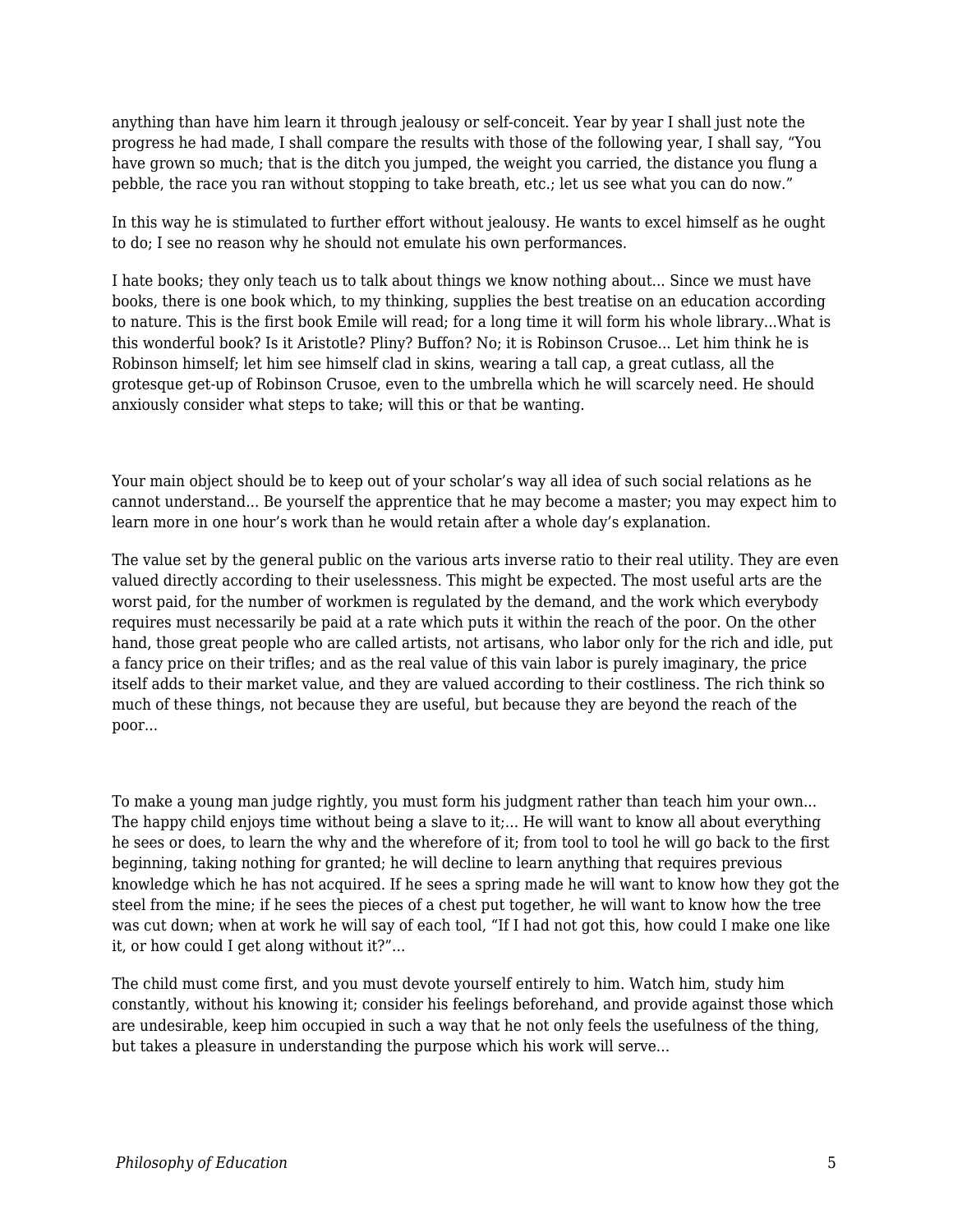anything than have him learn it through jealousy or self-conceit. Year by year I shall just note the progress he had made, I shall compare the results with those of the following year, I shall say, "You have grown so much; that is the ditch you jumped, the weight you carried, the distance you flung a pebble, the race you ran without stopping to take breath, etc.; let us see what you can do now."

In this way he is stimulated to further effort without jealousy. He wants to excel himself as he ought to do; I see no reason why he should not emulate his own performances.

I hate books; they only teach us to talk about things we know nothing about... Since we must have books, there is one book which, to my thinking, supplies the best treatise on an education according to nature. This is the first book Emile will read; for a long time it will form his whole library...What is this wonderful book? Is it Aristotle? Pliny? Buffon? No; it is Robinson Crusoe... Let him think he is Robinson himself; let him see himself clad in skins, wearing a tall cap, a great cutlass, all the grotesque get-up of Robinson Crusoe, even to the umbrella which he will scarcely need. He should anxiously consider what steps to take; will this or that be wanting.

Your main object should be to keep out of your scholar's way all idea of such social relations as he cannot understand... Be yourself the apprentice that he may become a master; you may expect him to learn more in one hour's work than he would retain after a whole day's explanation.

The value set by the general public on the various arts inverse ratio to their real utility. They are even valued directly according to their uselessness. This might be expected. The most useful arts are the worst paid, for the number of workmen is regulated by the demand, and the work which everybody requires must necessarily be paid at a rate which puts it within the reach of the poor. On the other hand, those great people who are called artists, not artisans, who labor only for the rich and idle, put a fancy price on their trifles; and as the real value of this vain labor is purely imaginary, the price itself adds to their market value, and they are valued according to their costliness. The rich think so much of these things, not because they are useful, but because they are beyond the reach of the poor...

To make a young man judge rightly, you must form his judgment rather than teach him your own... The happy child enjoys time without being a slave to it;... He will want to know all about everything he sees or does, to learn the why and the wherefore of it; from tool to tool he will go back to the first beginning, taking nothing for granted; he will decline to learn anything that requires previous knowledge which he has not acquired. If he sees a spring made he will want to know how they got the steel from the mine; if he sees the pieces of a chest put together, he will want to know how the tree was cut down; when at work he will say of each tool, "If I had not got this, how could I make one like it, or how could I get along without it?"...

The child must come first, and you must devote yourself entirely to him. Watch him, study him constantly, without his knowing it; consider his feelings beforehand, and provide against those which are undesirable, keep him occupied in such a way that he not only feels the usefulness of the thing, but takes a pleasure in understanding the purpose which his work will serve...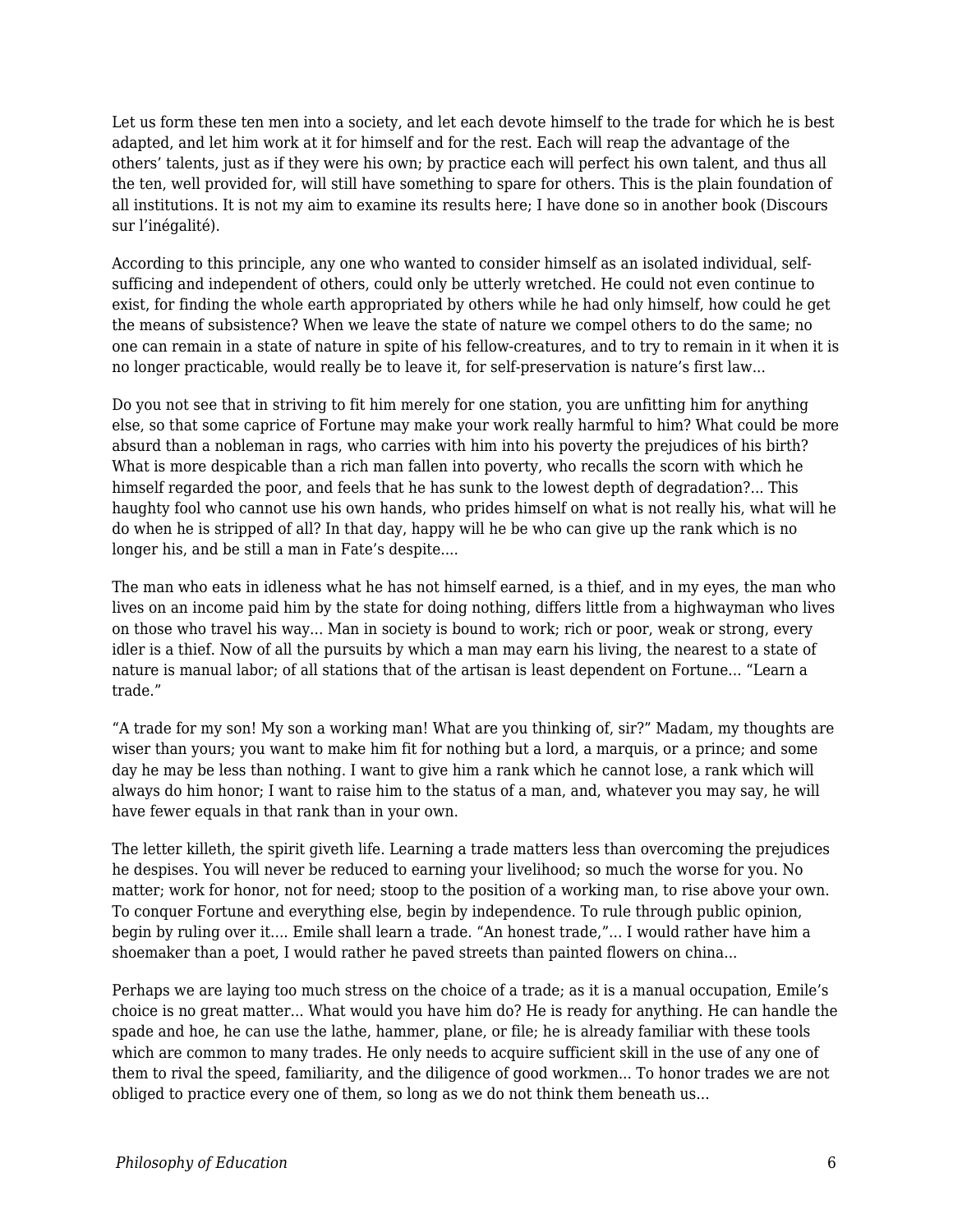Let us form these ten men into a society, and let each devote himself to the trade for which he is best adapted, and let him work at it for himself and for the rest. Each will reap the advantage of the others' talents, just as if they were his own; by practice each will perfect his own talent, and thus all the ten, well provided for, will still have something to spare for others. This is the plain foundation of all institutions. It is not my aim to examine its results here; I have done so in another book (Discours sur l'inégalité).

According to this principle, any one who wanted to consider himself as an isolated individual, selfsufficing and independent of others, could only be utterly wretched. He could not even continue to exist, for finding the whole earth appropriated by others while he had only himself, how could he get the means of subsistence? When we leave the state of nature we compel others to do the same; no one can remain in a state of nature in spite of his fellow-creatures, and to try to remain in it when it is no longer practicable, would really be to leave it, for self-preservation is nature's first law...

Do you not see that in striving to fit him merely for one station, you are unfitting him for anything else, so that some caprice of Fortune may make your work really harmful to him? What could be more absurd than a nobleman in rags, who carries with him into his poverty the prejudices of his birth? What is more despicable than a rich man fallen into poverty, who recalls the scorn with which he himself regarded the poor, and feels that he has sunk to the lowest depth of degradation?... This haughty fool who cannot use his own hands, who prides himself on what is not really his, what will he do when he is stripped of all? In that day, happy will he be who can give up the rank which is no longer his, and be still a man in Fate's despite....

The man who eats in idleness what he has not himself earned, is a thief, and in my eyes, the man who lives on an income paid him by the state for doing nothing, differs little from a highwayman who lives on those who travel his way... Man in society is bound to work; rich or poor, weak or strong, every idler is a thief. Now of all the pursuits by which a man may earn his living, the nearest to a state of nature is manual labor; of all stations that of the artisan is least dependent on Fortune... "Learn a trade."

"A trade for my son! My son a working man! What are you thinking of, sir?" Madam, my thoughts are wiser than yours; you want to make him fit for nothing but a lord, a marquis, or a prince; and some day he may be less than nothing. I want to give him a rank which he cannot lose, a rank which will always do him honor; I want to raise him to the status of a man, and, whatever you may say, he will have fewer equals in that rank than in your own.

The letter killeth, the spirit giveth life. Learning a trade matters less than overcoming the prejudices he despises. You will never be reduced to earning your livelihood; so much the worse for you. No matter; work for honor, not for need; stoop to the position of a working man, to rise above your own. To conquer Fortune and everything else, begin by independence. To rule through public opinion, begin by ruling over it.... Emile shall learn a trade. "An honest trade,"... I would rather have him a shoemaker than a poet, I would rather he paved streets than painted flowers on china...

Perhaps we are laying too much stress on the choice of a trade; as it is a manual occupation, Emile's choice is no great matter... What would you have him do? He is ready for anything. He can handle the spade and hoe, he can use the lathe, hammer, plane, or file; he is already familiar with these tools which are common to many trades. He only needs to acquire sufficient skill in the use of any one of them to rival the speed, familiarity, and the diligence of good workmen... To honor trades we are not obliged to practice every one of them, so long as we do not think them beneath us...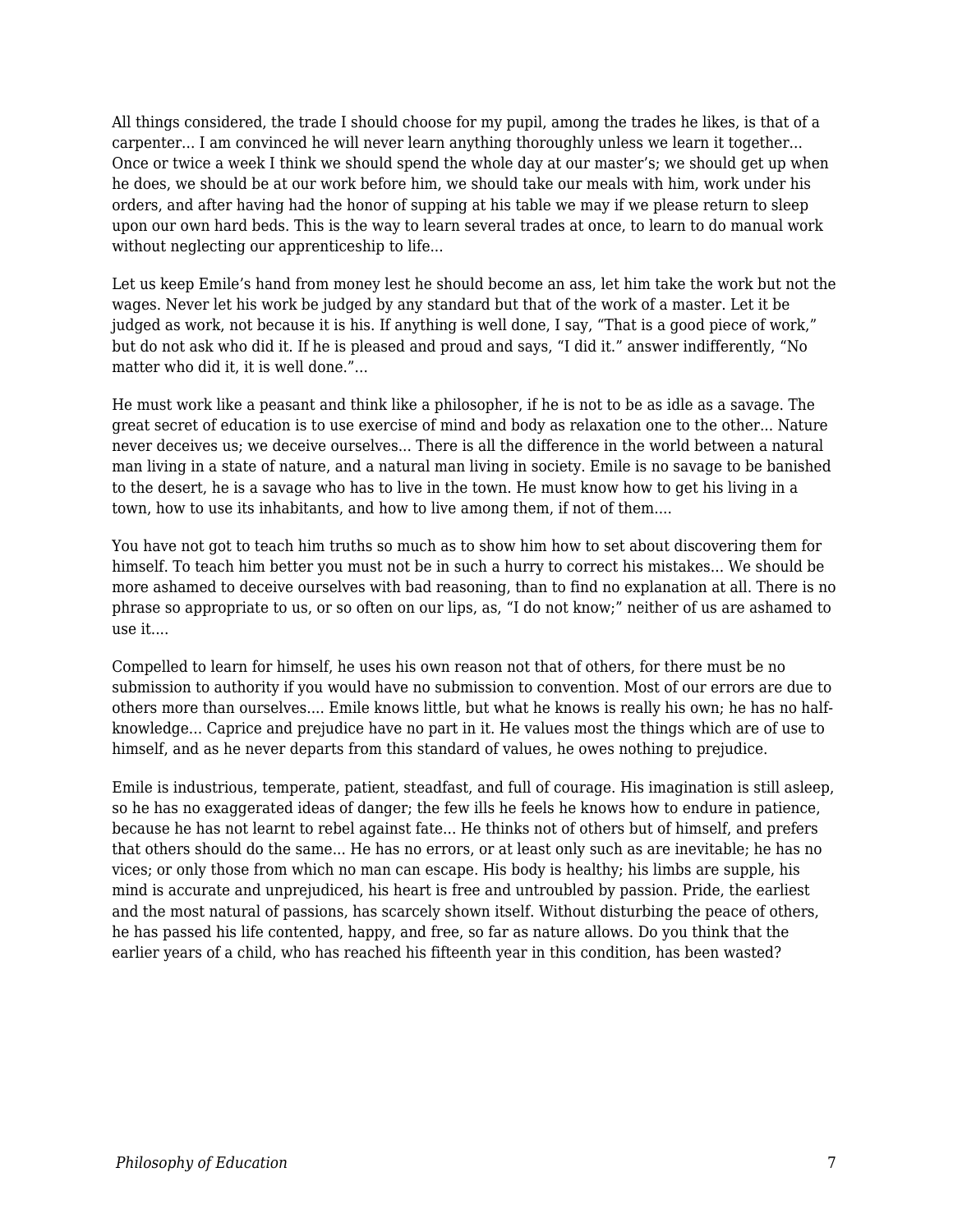All things considered, the trade I should choose for my pupil, among the trades he likes, is that of a carpenter... I am convinced he will never learn anything thoroughly unless we learn it together... Once or twice a week I think we should spend the whole day at our master's; we should get up when he does, we should be at our work before him, we should take our meals with him, work under his orders, and after having had the honor of supping at his table we may if we please return to sleep upon our own hard beds. This is the way to learn several trades at once, to learn to do manual work without neglecting our apprenticeship to life...

Let us keep Emile's hand from money lest he should become an ass, let him take the work but not the wages. Never let his work be judged by any standard but that of the work of a master. Let it be judged as work, not because it is his. If anything is well done, I say, "That is a good piece of work," but do not ask who did it. If he is pleased and proud and says, "I did it." answer indifferently, "No matter who did it, it is well done."...

He must work like a peasant and think like a philosopher, if he is not to be as idle as a savage. The great secret of education is to use exercise of mind and body as relaxation one to the other... Nature never deceives us; we deceive ourselves... There is all the difference in the world between a natural man living in a state of nature, and a natural man living in society. Emile is no savage to be banished to the desert, he is a savage who has to live in the town. He must know how to get his living in a town, how to use its inhabitants, and how to live among them, if not of them....

You have not got to teach him truths so much as to show him how to set about discovering them for himself. To teach him better you must not be in such a hurry to correct his mistakes... We should be more ashamed to deceive ourselves with bad reasoning, than to find no explanation at all. There is no phrase so appropriate to us, or so often on our lips, as, "I do not know;" neither of us are ashamed to use it....

Compelled to learn for himself, he uses his own reason not that of others, for there must be no submission to authority if you would have no submission to convention. Most of our errors are due to others more than ourselves.... Emile knows little, but what he knows is really his own; he has no halfknowledge... Caprice and prejudice have no part in it. He values most the things which are of use to himself, and as he never departs from this standard of values, he owes nothing to prejudice.

Emile is industrious, temperate, patient, steadfast, and full of courage. His imagination is still asleep, so he has no exaggerated ideas of danger; the few ills he feels he knows how to endure in patience, because he has not learnt to rebel against fate... He thinks not of others but of himself, and prefers that others should do the same... He has no errors, or at least only such as are inevitable; he has no vices; or only those from which no man can escape. His body is healthy; his limbs are supple, his mind is accurate and unprejudiced, his heart is free and untroubled by passion. Pride, the earliest and the most natural of passions, has scarcely shown itself. Without disturbing the peace of others, he has passed his life contented, happy, and free, so far as nature allows. Do you think that the earlier years of a child, who has reached his fifteenth year in this condition, has been wasted?